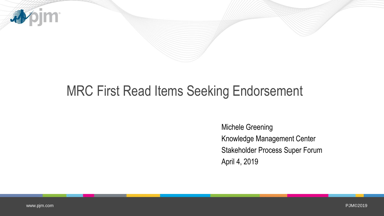

## MRC First Read Items Seeking Endorsement

Michele Greening Knowledge Management Center Stakeholder Process Super Forum April 4, 2019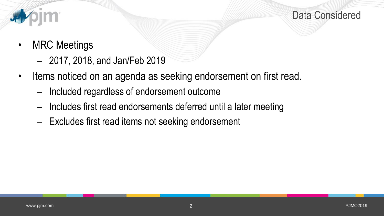



- MRC Meetings
	- 2017, 2018, and Jan/Feb 2019
- Items noticed on an agenda as seeking endorsement on first read.
	- Included regardless of endorsement outcome
	- Includes first read endorsements deferred until a later meeting
	- Excludes first read items not seeking endorsement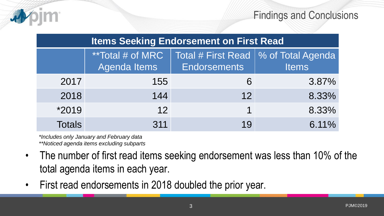

| <b>Items Seeking Endorsement on First Read</b> |                                                 |                                                               |              |
|------------------------------------------------|-------------------------------------------------|---------------------------------------------------------------|--------------|
|                                                | <i>**</i> Total # of MRC<br><b>Agenda Items</b> | Total # First Read   % of Total Agenda<br><b>Endorsements</b> | <b>Items</b> |
| 2017                                           | 155                                             | 6                                                             | 3.87%        |
| 2018                                           | 144                                             | 12                                                            | 8.33%        |
| *2019                                          | 12                                              | 1                                                             | 8.33%        |
| <b>Totals</b>                                  | 311                                             | 19                                                            | 6.11%        |

*\*Includes only January and February data \*\*Noticed agenda items excluding subparts* 

- The number of first read items seeking endorsement was less than 10% of the total agenda items in each year.
- First read endorsements in 2018 doubled the prior year.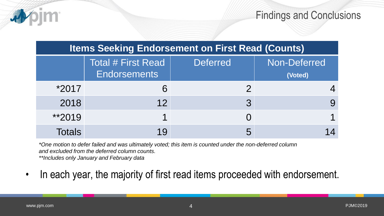

Findings and Conclusions

| <b>Items Seeking Endorsement on First Read (Counts)</b> |                                           |                 |                         |
|---------------------------------------------------------|-------------------------------------------|-----------------|-------------------------|
|                                                         | Total # First Read<br><b>Endorsements</b> | <b>Deferred</b> | Non-Deferred<br>(Voted) |
| *2017                                                   | 6                                         |                 |                         |
| 2018                                                    | 12                                        | 3               |                         |
| $*2019$                                                 |                                           |                 |                         |
| Totals                                                  |                                           | 5               |                         |

*\*One motion to defer failed and was ultimately voted; this item is counted under the non-deferred column and excluded from the deferred column counts.* 

*\*\*Includes only January and February data*

• In each year, the majority of first read items proceeded with endorsement.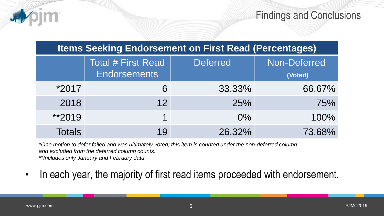

Findings and Conclusions

| <b>Items Seeking Endorsement on First Read (Percentages)</b> |                                           |                 |                         |
|--------------------------------------------------------------|-------------------------------------------|-----------------|-------------------------|
|                                                              | Total # First Read<br><b>Endorsements</b> | <b>Deferred</b> | Non-Deferred<br>(Voted) |
| *2017                                                        | 6                                         | 33.33%          | 66.67%                  |
| 2018                                                         | 12                                        | 25%             | 75%                     |
| **2019                                                       | $\blacktriangleleft$                      | $0\%$           | 100%                    |
| <b>Totals</b>                                                | 19                                        | 26.32%          | 73.68%                  |

*\*One motion to defer failed and was ultimately voted; this item is counted under the non-deferred column and excluded from the deferred column counts.* 

*\*\*Includes only January and February data*

In each year, the majority of first read items proceeded with endorsement.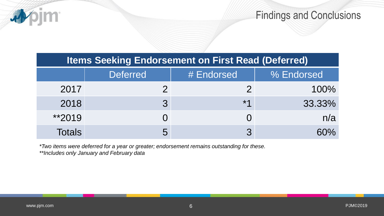

## **Items Seeking Endorsement on First Read (Deferred)**

|               | <b>Deferred</b> | # Endorsed   | % Endorsed |
|---------------|-----------------|--------------|------------|
| 2017          |                 |              | 100%       |
| 2018          |                 | $*1$         | 33.33%     |
| $*2019$       |                 |              | n/a        |
| <b>Totals</b> | 5               | $\mathbf{z}$ | 60%        |

*\*Two items were deferred for a year or greater; endorsement remains outstanding for these. \*\*Includes only January and February data*

)jm\*

4